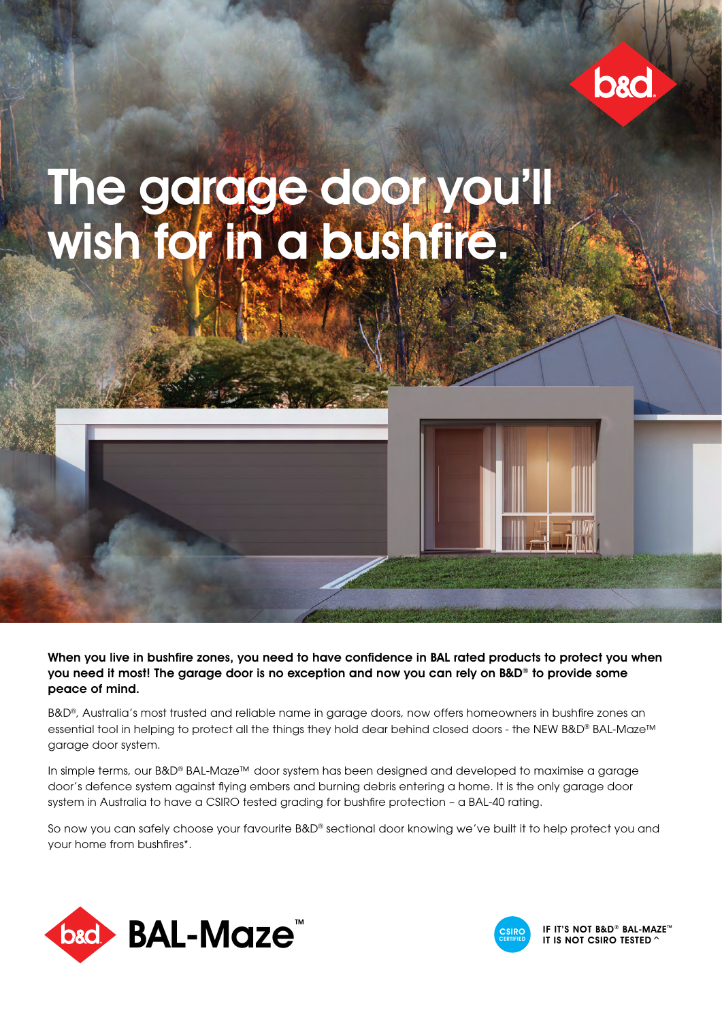

# The garage door you'll wish for in a bushfire.

When you live in bushfire zones, you need to have confidence in BAL rated products to protect you when you need it most! The garage door is no exception and now you can rely on B&D® to provide some peace of mind.

B&D®, Australia's most trusted and reliable name in garage doors, now offers homeowners in bushfire zones an essential tool in helping to protect all the things they hold dear behind closed doors - the NEW B&D® BAL-Maze™ garage door system.

In simple terms, our B&D® BAL-Maze™ door system has been designed and developed to maximise a garage door's defence system against flying embers and burning debris entering a home. It is the only garage door system in Australia to have a CSIRO tested grading for bushfire protection - a BAL-40 rating.

So now you can safely choose your favourite B&D® sectional door knowing we've built it to help protect you and your home from bushfires\*.





IF IT'S NOT B&D® BAL-MAZE™ IT IS NOT CSIRO TESTED  $\ell$